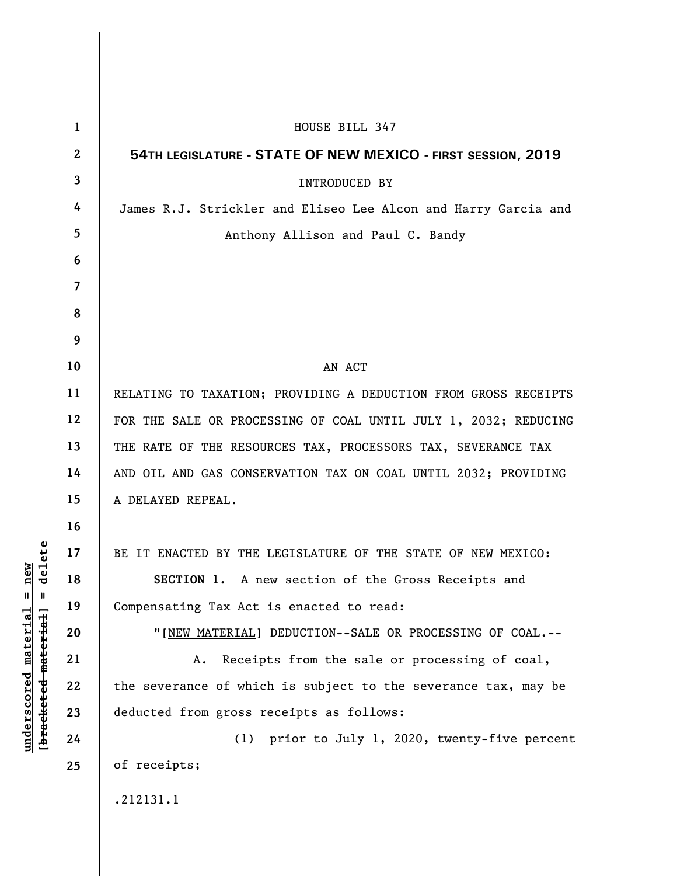| $\mathbf{1}$   | HOUSE BILL 347                                                  |
|----------------|-----------------------------------------------------------------|
| $\mathbf{2}$   | 54TH LEGISLATURE - STATE OF NEW MEXICO - FIRST SESSION, 2019    |
| 3              | <b>INTRODUCED BY</b>                                            |
| 4              | James R.J. Strickler and Eliseo Lee Alcon and Harry Garcia and  |
| 5              | Anthony Allison and Paul C. Bandy                               |
| 6              |                                                                 |
| $\overline{7}$ |                                                                 |
| 8              |                                                                 |
| 9              |                                                                 |
| 10             | AN ACT                                                          |
| 11             | RELATING TO TAXATION; PROVIDING A DEDUCTION FROM GROSS RECEIPTS |
| 12             | FOR THE SALE OR PROCESSING OF COAL UNTIL JULY 1, 2032; REDUCING |
| 13             | THE RATE OF THE RESOURCES TAX, PROCESSORS TAX, SEVERANCE TAX    |
| 14             | AND OIL AND GAS CONSERVATION TAX ON COAL UNTIL 2032; PROVIDING  |
| 15             | A DELAYED REPEAL.                                               |
| 16             |                                                                 |
| 17             | BE IT ENACTED BY THE LEGISLATURE OF THE STATE OF NEW MEXICO:    |
| 18             | SECTION 1. A new section of the Gross Receipts and              |
| 19             | Compensating Tax Act is enacted to read:                        |
| 20             | "[NEW MATERIAL] DEDUCTION--SALE OR PROCESSING OF COAL.--        |
| 21             | Receipts from the sale or processing of coal,<br>Α.             |
| 22             | the severance of which is subject to the severance tax, may be  |
| 23             | deducted from gross receipts as follows:                        |
| 24             | (1) prior to July 1, 2020, twenty-five percent                  |
| 25             | of receipts;                                                    |
|                | .212131.1                                                       |

**underscored material = new [bracketed material] = delete**

 $[bracketeed-materiat] = delete$  $underscored material = new$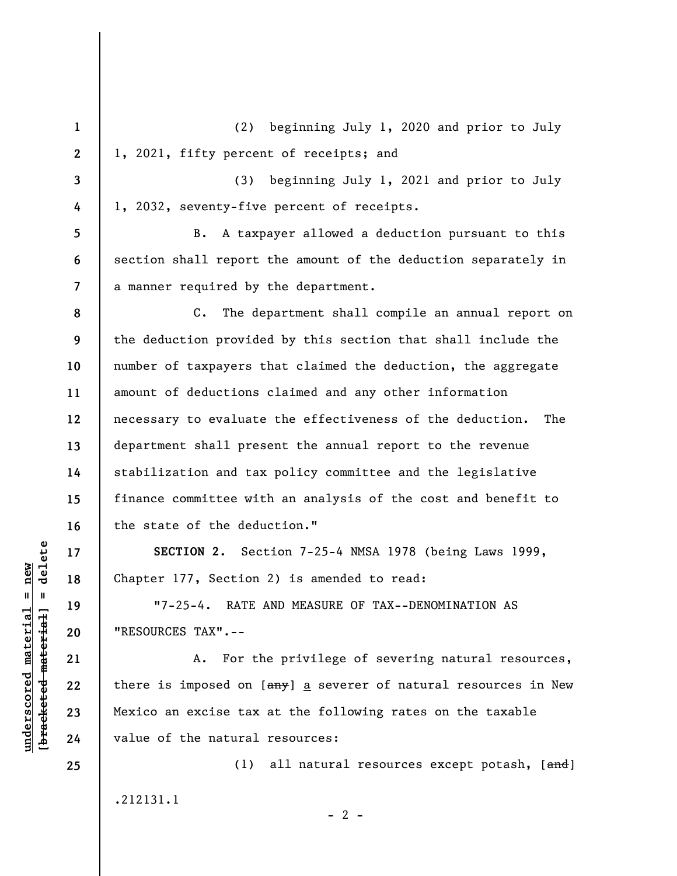**1 2 3 4 5 6 7 8 9 10 11 12 13 14 15 16 17 18 19 20 21 22 23 24 25**  (2) beginning July 1, 2020 and prior to July 1, 2021, fifty percent of receipts; and (3) beginning July 1, 2021 and prior to July 1, 2032, seventy-five percent of receipts. B. A taxpayer allowed a deduction pursuant to this section shall report the amount of the deduction separately in a manner required by the department. C. The department shall compile an annual report on the deduction provided by this section that shall include the number of taxpayers that claimed the deduction, the aggregate amount of deductions claimed and any other information necessary to evaluate the effectiveness of the deduction. The department shall present the annual report to the revenue stabilization and tax policy committee and the legislative finance committee with an analysis of the cost and benefit to the state of the deduction." **SECTION 2.** Section 7-25-4 NMSA 1978 (being Laws 1999, Chapter 177, Section 2) is amended to read: "7-25-4. RATE AND MEASURE OF TAX--DENOMINATION AS "RESOURCES TAX".-- A. For the privilege of severing natural resources, there is imposed on  $[\frac{any}{})$  a severer of natural resources in New Mexico an excise tax at the following rates on the taxable value of the natural resources: (1) all natural resources except potash,  $[and]$ 

.212131.1

 $\frac{1}{2}$  bracketed material = delete **[bracketed material] = delete**  $underscored material = new$ **underscored material = new**

 $- 2 -$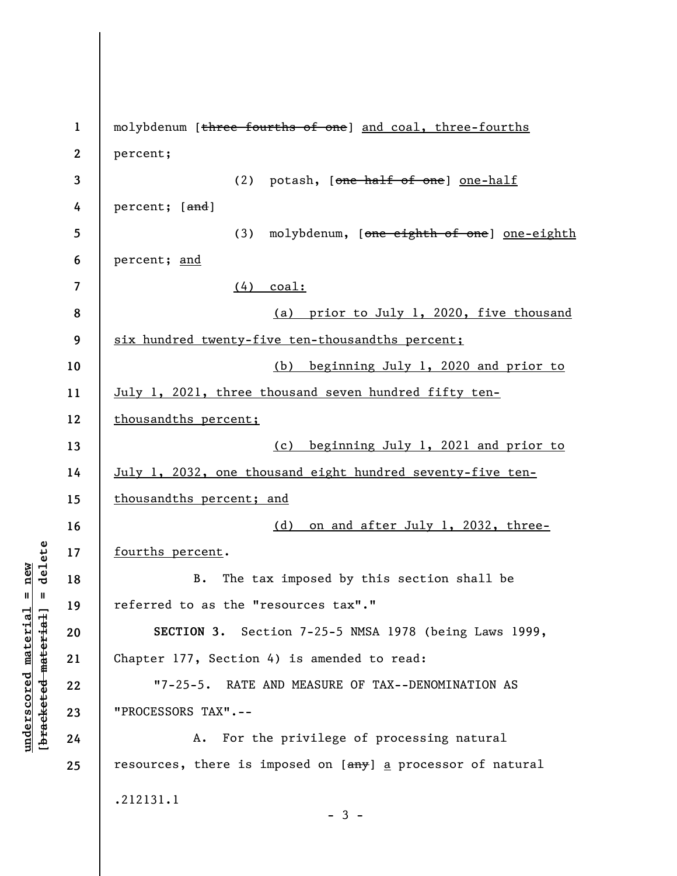| $\mathbf{1}$     | molybdenum [three fourths of one] and coal, three-fourths   |
|------------------|-------------------------------------------------------------|
| $\boldsymbol{2}$ | percent;                                                    |
| 3                | (2) potash, [one half of one] one-half                      |
| 4                | percent; [and]                                              |
| 5                | (3) molybdenum, [one eighth of one] one-eighth              |
| 6                | percent; and                                                |
| 7                | $(4)$ coal:                                                 |
| 8                | (a) prior to July 1, 2020, five thousand                    |
| 9                | six hundred twenty-five ten-thousandths percent;            |
| 10               | (b) beginning July 1, 2020 and prior to                     |
| 11               | July 1, 2021, three thousand seven hundred fifty ten-       |
| 12               | thousandths percent;                                        |
| 13               | (c) beginning July 1, 2021 and prior to                     |
| 14               | July 1, 2032, one thousand eight hundred seventy-five ten-  |
| 15               | thousandths percent; and                                    |
| 16               | (d) on and after July 1, 2032, three-                       |
| 17               | fourths percent.                                            |
| 18               | The tax imposed by this section shall be<br><b>B.</b>       |
| 19               | referred to as the "resources tax"."                        |
| 20               | SECTION 3. Section 7-25-5 NMSA 1978 (being Laws 1999,       |
| 21               | Chapter 177, Section 4) is amended to read:                 |
| 22               | "7-25-5. RATE AND MEASURE OF TAX--DENOMINATION AS           |
| 23               | "PROCESSORS TAX".--                                         |
| 24               | A. For the privilege of processing natural                  |
| 25               | resources, there is imposed on [any] a processor of natural |
|                  | .212131.1                                                   |
|                  | $-3-$                                                       |
|                  |                                                             |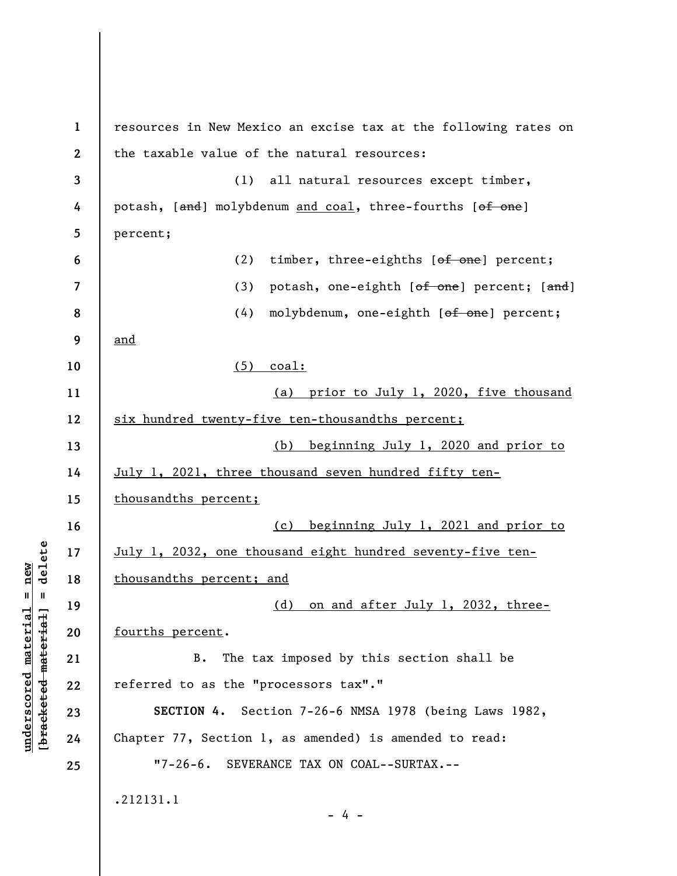| $\mathbf{1}$ | resources in New Mexico an excise tax at the following rates on |
|--------------|-----------------------------------------------------------------|
| $\mathbf{2}$ | the taxable value of the natural resources:                     |
| 3            | (1) all natural resources except timber,                        |
| 4            | potash, [and] molybdenum and coal, three-fourths [of one]       |
| 5            | percent;                                                        |
| 6            | (2)<br>timber, three-eighths [of one] percent;                  |
| 7            | potash, one-eighth [of one] percent; [and]<br>(3)               |
| 8            | (4)<br>molybdenum, one-eighth [of one] percent;                 |
| 9            | and                                                             |
| 10           | $(5)$ coal:                                                     |
| 11           | (a) prior to July 1, 2020, five thousand                        |
| 12           | six hundred twenty-five ten-thousandths percent;                |
| 13           | (b) beginning July 1, 2020 and prior to                         |
| 14           | July 1, 2021, three thousand seven hundred fifty ten-           |
| 15           | thousandths percent;                                            |
| 16           | (c) beginning July 1, 2021 and prior to                         |
| 17           | July 1, 2032, one thousand eight hundred seventy-five ten-      |
| 18           | thousandths percent; and                                        |
| 19           | (d) on and after July 1, 2032, three-                           |
| 20           | fourths percent.                                                |
| 21           | The tax imposed by this section shall be<br>B.                  |
| 22           | referred to as the "processors tax"."                           |
| 23           | SECTION 4. Section 7-26-6 NMSA 1978 (being Laws 1982,           |
| 24           | Chapter 77, Section 1, as amended) is amended to read:          |
| 25           | "7-26-6. SEVERANCE TAX ON COAL--SURTAX.--                       |
|              | .212131.1                                                       |
|              | $-4 -$                                                          |

 $[**bracket eted metert et**] = **del et e**$ **[bracketed material] = delete**  $underscored material = new$ **underscored material = new**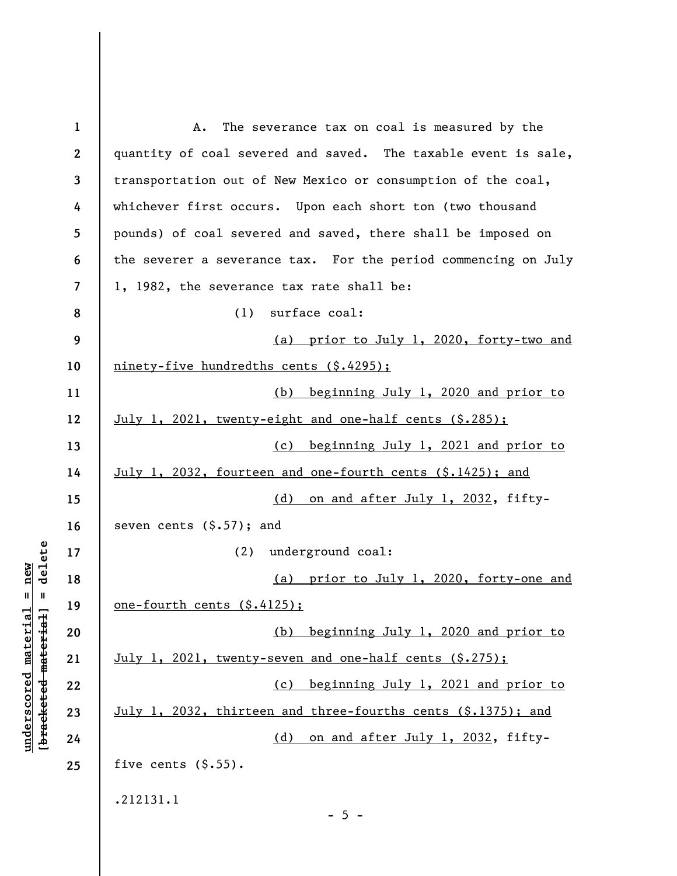| $\mathbf{1}$     | The severance tax on coal is measured by the<br>Α.             |
|------------------|----------------------------------------------------------------|
| $\boldsymbol{2}$ | quantity of coal severed and saved. The taxable event is sale, |
| 3                | transportation out of New Mexico or consumption of the coal,   |
| 4                | whichever first occurs. Upon each short ton (two thousand      |
| 5                | pounds) of coal severed and saved, there shall be imposed on   |
| 6                | the severer a severance tax. For the period commencing on July |
| $\overline{7}$   | 1, 1982, the severance tax rate shall be:                      |
| 8                | surface coal:<br>(1)                                           |
| 9                | (a) prior to July 1, 2020, forty-two and                       |
| 10               | ninety-five hundredths cents (\$.4295);                        |
| 11               | (b) beginning July 1, 2020 and prior to                        |
| 12               | July 1, 2021, twenty-eight and one-half cents (\$.285);        |
| 13               | (c) beginning July 1, 2021 and prior to                        |
| 14               | July 1, 2032, fourteen and one-fourth cents (\$.1425); and     |
| 15               | on and after July 1, 2032, fifty-<br>(d)                       |
| 16               | seven cents $(\$.57)$ ; and                                    |
| 17               | (2)<br>underground coal:                                       |
| 18               | (a) prior to July 1, 2020, forty-one and                       |
| 19               | <u>one-fourth cents (\$.4125);</u>                             |
| 20               | (b) beginning July 1, 2020 and prior to                        |
| 21               | July 1, 2021, twenty-seven and one-half cents (\$.275);        |
| 22               | (c) beginning July 1, 2021 and prior to                        |
| 23               | July 1, 2032, thirteen and three-fourths cents (\$.1375); and  |
| 24               | (d) on and after July 1, 2032, fifty-                          |
| 25               | five cents $(\$.55)$ .                                         |
|                  | .212131.1                                                      |
|                  | $-5 -$                                                         |

**underscored material = new [bracketed material] = delete**

 $[**bracket eted metert et**] = **del et e**$  $underscored material = new$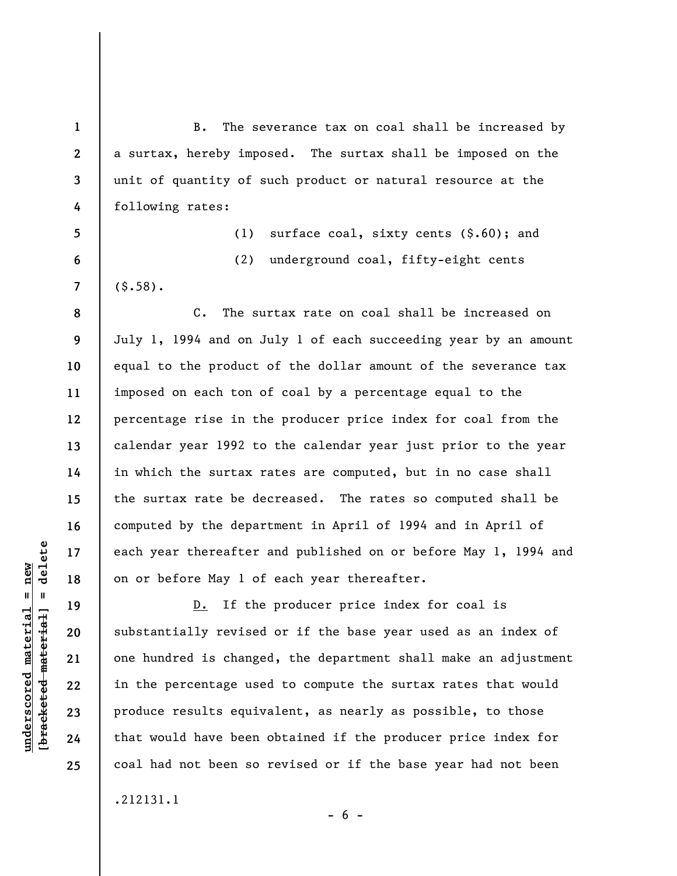B. The severance tax on coal shall be increased by a surtax, hereby imposed. The surtax shall be imposed on the unit of quantity of such product or natural resource at the following rates:

(1) surface coal, sixty cents (\$.60); and (2) underground coal, fifty-eight cents  $(5.58)$ .

C. The surtax rate on coal shall be increased on July 1, 1994 and on July 1 of each succeeding year by an amount equal to the product of the dollar amount of the severance tax imposed on each ton of coal by a percentage equal to the percentage rise in the producer price index for coal from the calendar year 1992 to the calendar year just prior to the year in which the surtax rates are computed, but in no case shall the surtax rate be decreased. The rates so computed shall be computed by the department in April of 1994 and in April of each year thereafter and published on or before May 1, 1994 and on or before May 1 of each year thereafter.

D. If the producer price index for coal is substantially revised or if the base year used as an index of one hundred is changed, the department shall make an adjustment in the percentage used to compute the surtax rates that would produce results equivalent, as nearly as possible, to those that would have been obtained if the producer price index for coal had not been so revised or if the base year had not been

 $- 6 -$ 

.212131.1

 $\frac{1}{2}$  bracketed material = delete **[bracketed material] = delete**  $underscored material = new$ **underscored material = new**

**1** 

**2** 

**3** 

**4** 

**5** 

**6** 

**7** 

**8** 

**9** 

**10** 

**11** 

**12** 

**13** 

**14** 

**15** 

**16** 

**17** 

**18** 

**19** 

**20** 

**21** 

**22** 

**23** 

**24** 

**25**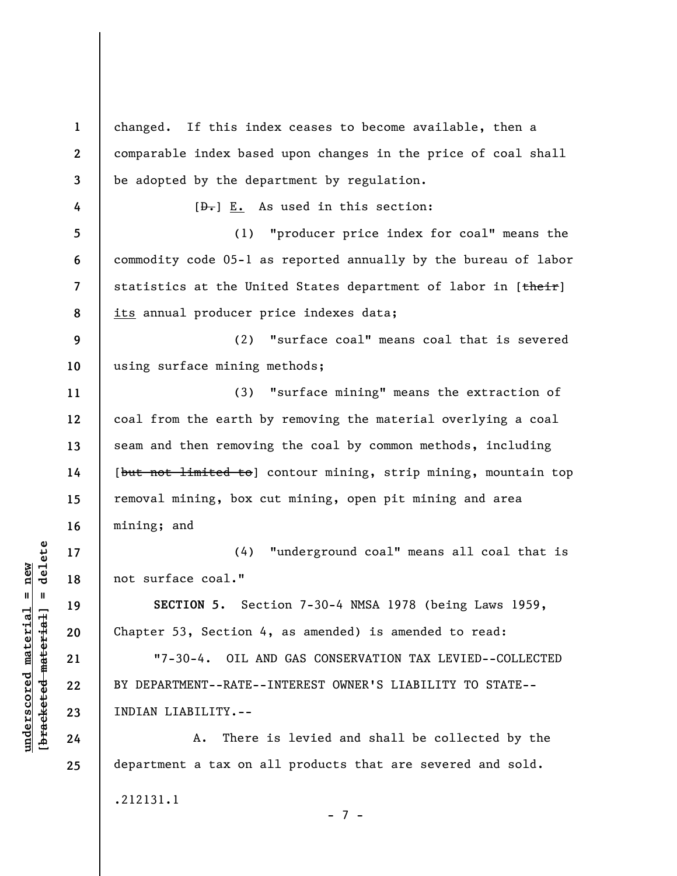**1 2 3 4 5 6 7 8 9 10 11 12 13 14 15 16 17 18 19 20 21 22 23 24 25**  changed. If this index ceases to become available, then a comparable index based upon changes in the price of coal shall be adopted by the department by regulation.  $[\frac{D-1}{2}]$  E. As used in this section: (1) "producer price index for coal" means the commodity code 05-1 as reported annually by the bureau of labor statistics at the United States department of labor in [their] its annual producer price indexes data; (2) "surface coal" means coal that is severed using surface mining methods; (3) "surface mining" means the extraction of coal from the earth by removing the material overlying a coal seam and then removing the coal by common methods, including [but not limited to] contour mining, strip mining, mountain top removal mining, box cut mining, open pit mining and area mining; and (4) "underground coal" means all coal that is not surface coal." **SECTION 5.** Section 7-30-4 NMSA 1978 (being Laws 1959, Chapter 53, Section 4, as amended) is amended to read: "7-30-4. OIL AND GAS CONSERVATION TAX LEVIED--COLLECTED BY DEPARTMENT--RATE--INTEREST OWNER'S LIABILITY TO STATE-- INDIAN LIABILITY.-- A. There is levied and shall be collected by the department a tax on all products that are severed and sold. .212131.1 - 7 -

**underscored material = new [bracketed material] = delete**

 $\frac{1}{2}$  intereted material = delete  $underscored material = new$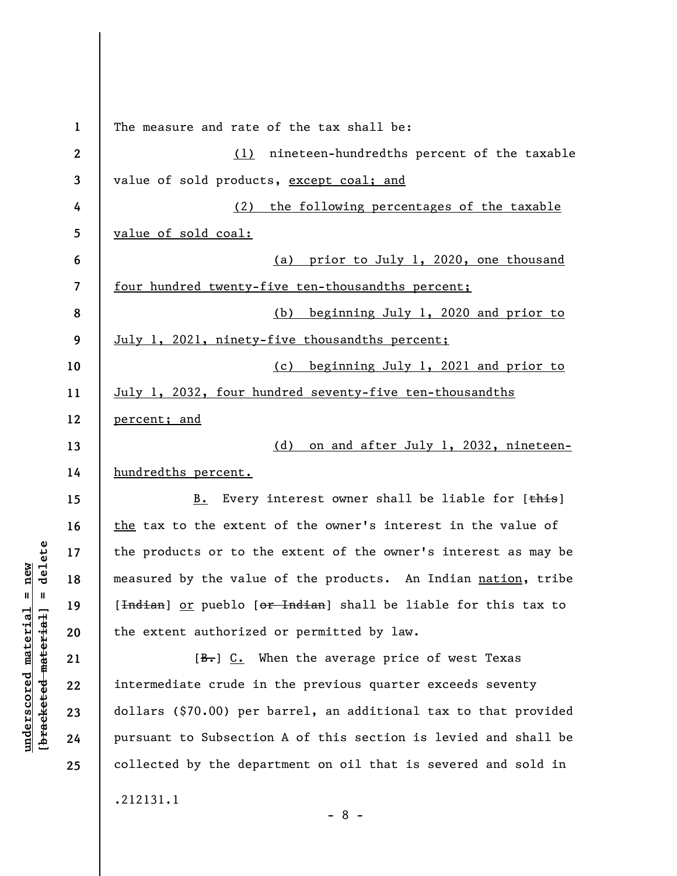**1 2 3 4 5 6 7 8 9 10 11 12 13 14 15 16 17 18 19 20 21 22 23 24 25**  The measure and rate of the tax shall be: (1) nineteen-hundredths percent of the taxable value of sold products, except coal; and (2) the following percentages of the taxable value of sold coal: (a) prior to July 1, 2020, one thousand four hundred twenty-five ten-thousandths percent; (b) beginning July 1, 2020 and prior to July 1, 2021, ninety-five thousandths percent; (c) beginning July 1, 2021 and prior to July 1, 2032, four hundred seventy-five ten-thousandths percent; and (d) on and after July 1, 2032, nineteenhundredths percent. B. Every interest owner shall be liable for [this] the tax to the extent of the owner's interest in the value of the products or to the extent of the owner's interest as may be measured by the value of the products. An Indian nation, tribe [<del>Indian</del>] or pueblo [<del>or Indian</del>] shall be liable for this tax to the extent authorized or permitted by law.  $[B<sub>1</sub>]$  C. When the average price of west Texas intermediate crude in the previous quarter exceeds seventy dollars (\$70.00) per barrel, an additional tax to that provided pursuant to Subsection A of this section is levied and shall be collected by the department on oil that is severed and sold in .212131.1 - 8 -

**underscored material = new [bracketed material] = delete**

 $\frac{1}{2}$  bracketed material = delete  $underscored material = new$